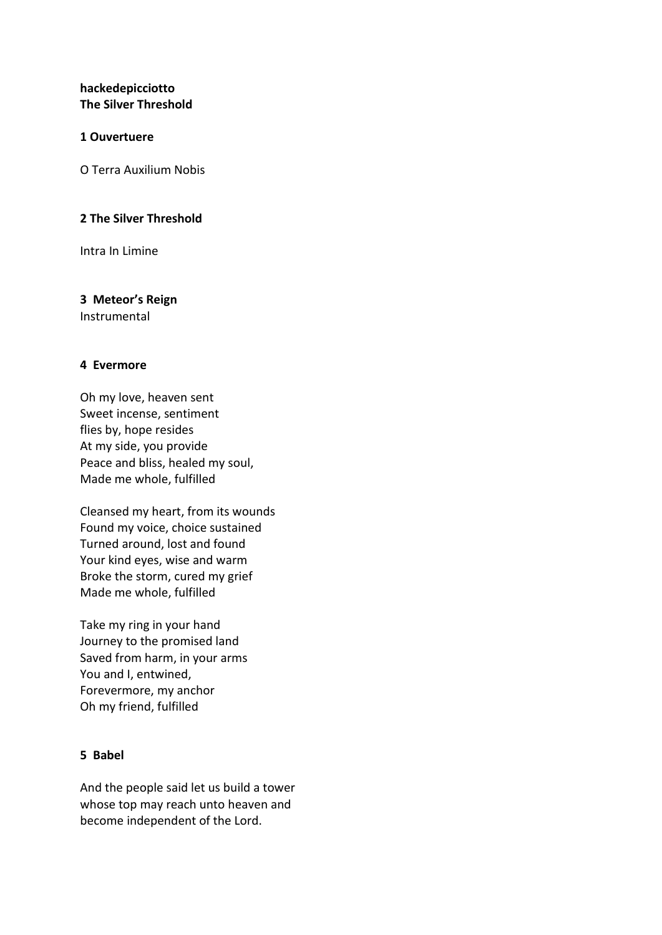# **hackedepicciotto The Silver Threshold**

### **1 Ouvertuere**

O Terra Auxilium Nobis

### **2 The Silver Threshold**

Intra In Limine

### **3 Meteor's Reign**

Instrumental

### **4 Evermore**

Oh my love, heaven sent Sweet incense, sentiment flies by, hope resides At my side, you provide Peace and bliss, healed my soul, Made me whole, fulfilled

Cleansed my heart, from its wounds Found my voice, choice sustained Turned around, lost and found Your kind eyes, wise and warm Broke the storm, cured my grief Made me whole, fulfilled

Take my ring in your hand Journey to the promised land Saved from harm, in your arms You and I, entwined, Forevermore, my anchor Oh my friend, fulfilled

### **5 Babel**

And the people said let us build a tower whose top may reach unto heaven and become independent of the Lord.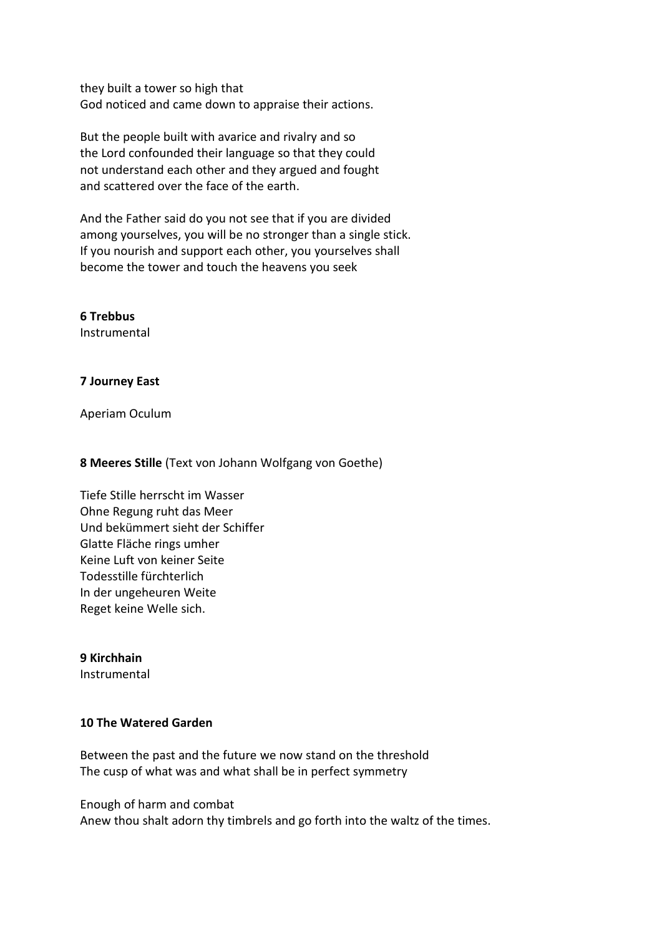they built a tower so high that God noticed and came down to appraise their actions.

But the people built with avarice and rivalry and so the Lord confounded their language so that they could not understand each other and they argued and fought and scattered over the face of the earth.

And the Father said do you not see that if you are divided among yourselves, you will be no stronger than a single stick. If you nourish and support each other, you yourselves shall become the tower and touch the heavens you seek

**6 Trebbus** Instrumental

### **7 Journey East**

Aperiam Oculum

#### **8 Meeres Stille** (Text von Johann Wolfgang von Goethe)

Tiefe Stille herrscht im Wasser Ohne Regung ruht das Meer Und bekümmert sieht der Schiffer Glatte Fläche rings umher Keine Luft von keiner Seite Todesstille fürchterlich In der ungeheuren Weite Reget keine Welle sich.

### **9 Kirchhain**

Instrumental

## **10 The Watered Garden**

Between the past and the future we now stand on the threshold The cusp of what was and what shall be in perfect symmetry

Enough of harm and combat

Anew thou shalt adorn thy timbrels and go forth into the waltz of the times.